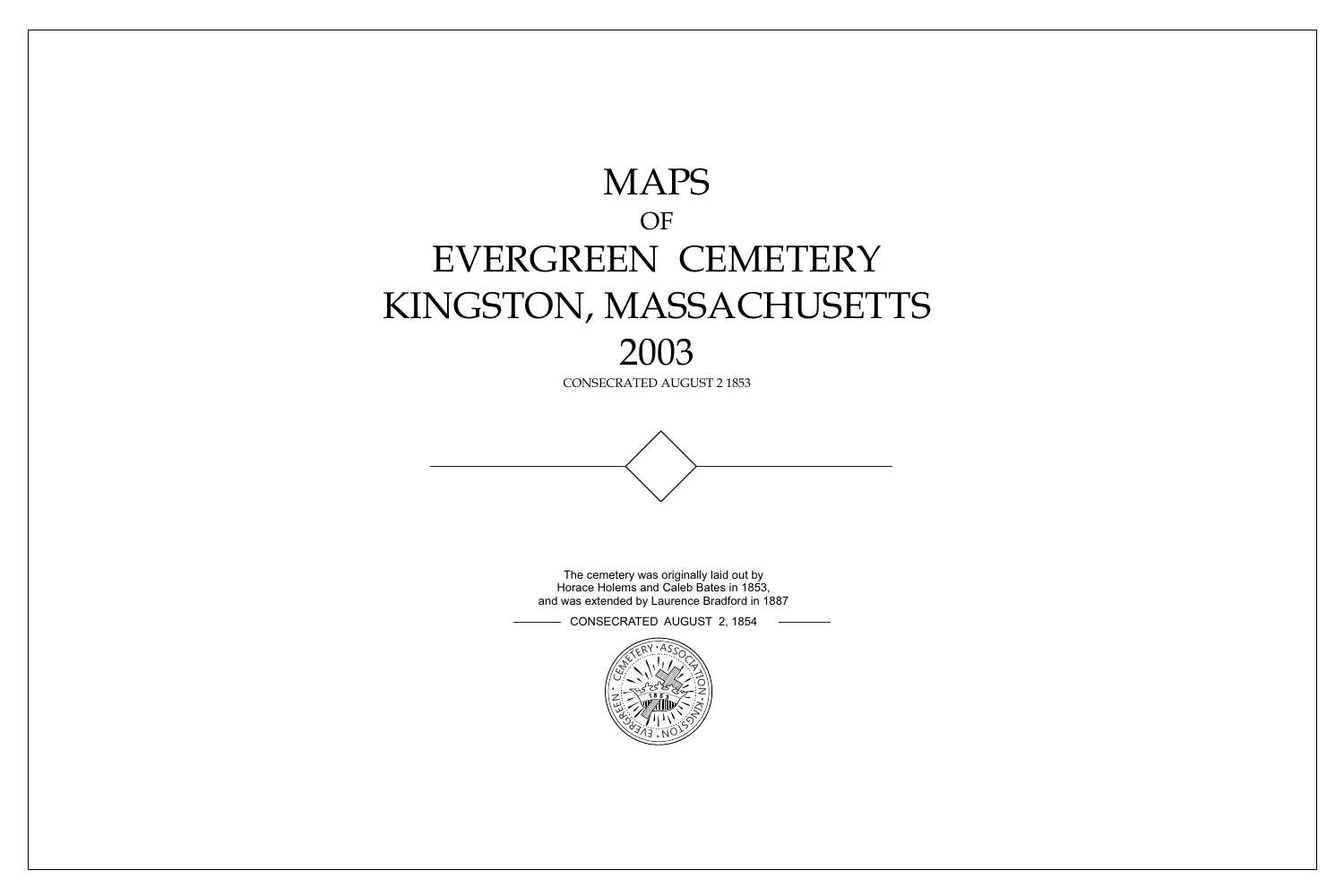



The cemetery was originally laid out by Horace Holems and Caleb Bates in 1853, and was extended by Laurence Bradford in 1887

CONSECRATED AUGUST 2, 1854

# MAPS OF EVERGREEN CEMETERY KINGSTON, MASSACHUSETTS 2003

CONSECRATED AUGUST 2 1853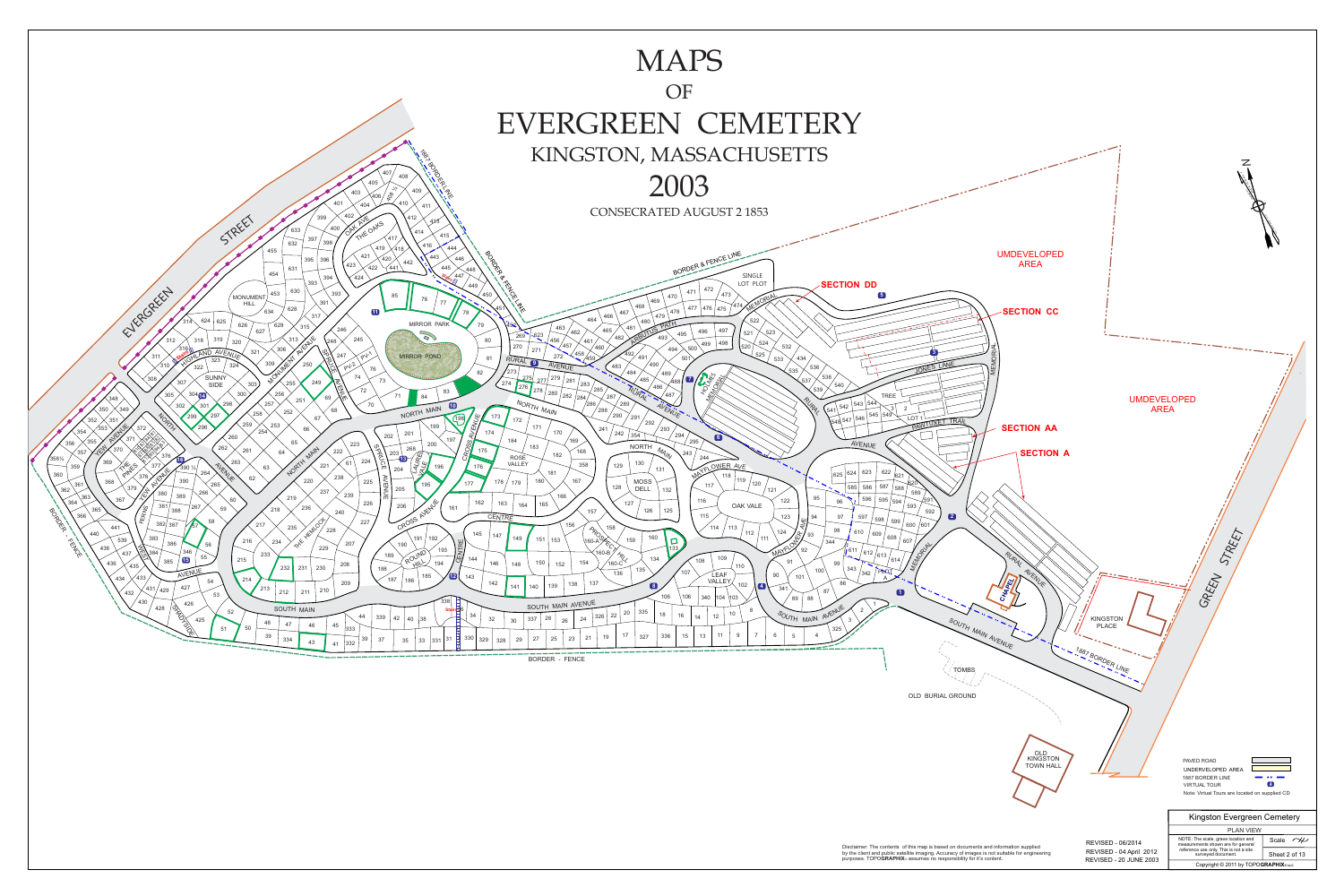



| <b>AN</b><br>5                                   |                                                                                                                 |
|--------------------------------------------------|-----------------------------------------------------------------------------------------------------------------|
| 444                                              |                                                                                                                 |
| BORD BERTAWEL<br>446                             | BORDER & FENCE LINE                                                                                             |
| 15                                               |                                                                                                                 |
| 448<br>447                                       | SINGLE                                                                                                          |
| $\frac{a_{ir}}{b}$<br>449                        | LOT PLOT<br><b>SECTION DD</b>                                                                                   |
| $\mathcal{F}_{\bullet}$<br>$\blacktriangleright$ | 472<br>471<br>473<br>$\boxed{5}$                                                                                |
| $\bullet_\bullet$                                | 470<br>MEMORIAL<br>469<br>474                                                                                   |
| <b>TAM</b><br>451<br>78                          | 468<br>476<br>477<br>475<br>478<br>467                                                                          |
|                                                  | 466<br>479<br>464<br>522                                                                                        |
| 452<br>79                                        | 463<br>465<br>497<br>496<br>523<br>462<br>521                                                                   |
| 269<br>80                                        | ARBUTUS PATH<br>495<br>$\frac{623}{ }$<br>482<br>456<br>461                                                     |
| 270                                              | 498<br>524<br>499<br>457<br>532<br>520<br>460<br>500<br>494<br>271                                              |
| 81<br>RURAL 9                                    | [ ვ<br>458<br>492<br>$525$<br>272<br>/459<br>491<br>434<br>501<br>533                                           |
|                                                  | 490<br>AVENUE<br>JONES<br>483<br>536                                                                            |
| 273<br>82                                        | 535<br>484<br>489<br><b>HOSTAS</b><br>538<br>275/<br>279<br>$\mathbf{Z}$                                        |
| 274<br>276                                       | 485<br>277<br>537<br>281<br>∕488<br>283<br>540<br>486                                                           |
| $3\overline{3}$                                  | <b>METIONAL REPAIR</b><br>539<br>285<br>RURAL<br>278<br>280<br>487<br>287<br><b>TREE</b><br>282<br>$\sqrt{284}$ |
| $\blacksquare$                                   | RUPA<br>NORTH MAIN<br>543   544<br>289<br>$^{'}286$ ,<br>542                                                    |
| 173                                              | AVENUE .<br>$\mathcal{S}$<br>$\overline{2}$<br>288<br>541<br>545 549<br>290<br>۰.                               |
| $\sqrt{198}$<br>172                              | 291<br>546<br>LOT <sub>1</sub><br>548 547<br>PAWTU<br>292                                                       |
| AVENUE<br>174                                    | 171<br>293<br>241<br>170<br>242<br>294                                                                          |
| 197<br>184                                       | 354<br>6<br>169<br>295<br>AVENUE                                                                                |
| CROSS<br>175                                     | <b>NORTH</b><br>183<br>MAIN<br>168<br>243                                                                       |
| <b>ROSE</b>                                      | 182<br>244<br>130                                                                                               |
| VALLEY<br>176                                    | NAYFLOWER AVE<br>358<br>129<br>131<br>622<br>623<br>181                                                         |
| 178                                              | 624<br>625<br>621<br>╲<br>119<br>167<br>620<br>180<br><b>MOSS</b>                                               |
| 179<br>177                                       | $\mathcal{L}_{\mathcal{S}}$<br>120<br>117<br>587<br>585<br>586<br>128<br>588<br><b>DELL</b><br>132<br>121       |
|                                                  | 589<br>166<br>95<br>$\sqrt{591}$<br>596<br>595 594<br>116                                                       |
| 162<br>163<br>164<br>161                         | 122<br>96<br>127<br>165<br>593<br>OAK VALE                                                                      |
| CENTRE                                           | 126<br>125<br>157<br>592<br>115<br>123<br>94<br>97<br>597                                                       |
|                                                  | 598<br>4/E<br>599<br>600<br>156<br>$/601$ $\overline{\phantom{1}}$<br>158<br>114<br>113                         |
| 145<br>147                                       | 98<br>124<br>610<br>112<br>609<br>93<br>608<br>160<br>111                                                       |
| 149                                              | 151<br>159<br>153<br>$\Box$<br>344<br>607                                                                       |
| CENTRE                                           | MAYFLOW OF<br>133<br>1611<br>(612 / 613)                                                                        |
| 144<br>146<br>148                                | MEMORIAL<br>$\frac{4}{160-C}$<br>109<br>134<br>614,<br>108<br>91<br>150<br>154<br>99<br>152<br>110              |
|                                                  | 343<br>135<br>100<br>PLOT<br>107<br>136<br>342<br><b>LEAF</b>                                                   |
| $\mathbf{E}$<br>143<br>142                       | 90<br>101<br>VALLEY<br>137<br>86<br>138                                                                         |
| 141                                              | 102<br>$\bullet$<br>139<br>$\blacksquare$<br>140<br>341<br>$\sum_{\alpha\in\mathbb{Z}}$<br>87<br>O              |
| 86                                               | 106<br>106<br>104 103<br>340<br>89<br>88                                                                        |
| $\frac{1}{100}$ Stairs36                         | SOUTH MAIN AVENUE<br>8<br>2<br>335                                                                              |
| 34<br>32<br>30                                   | SOUTH MAIN AVENUE<br>20<br>18<br>10<br>22<br>16<br>12<br>326<br>14<br>28<br>337<br>24<br>26                     |
|                                                  | 325                                                                                                             |
| 330<br>31<br>329<br>29<br>328                    | 6<br>9<br>$\overline{7}$<br>11<br>4<br>5<br>17<br>13<br>336<br>15<br>19<br>327<br>21<br>25<br>23<br>27          |
|                                                  | $=$ $ \sim$                                                                                                     |
|                                                  | <b>BORDER - FENCE</b>                                                                                           |
|                                                  |                                                                                                                 |

## MAPS OF EVERGREEN CEMETERY KINGSTON, MASSACHUSETTS

CONSECRATED AUGUST 2 1853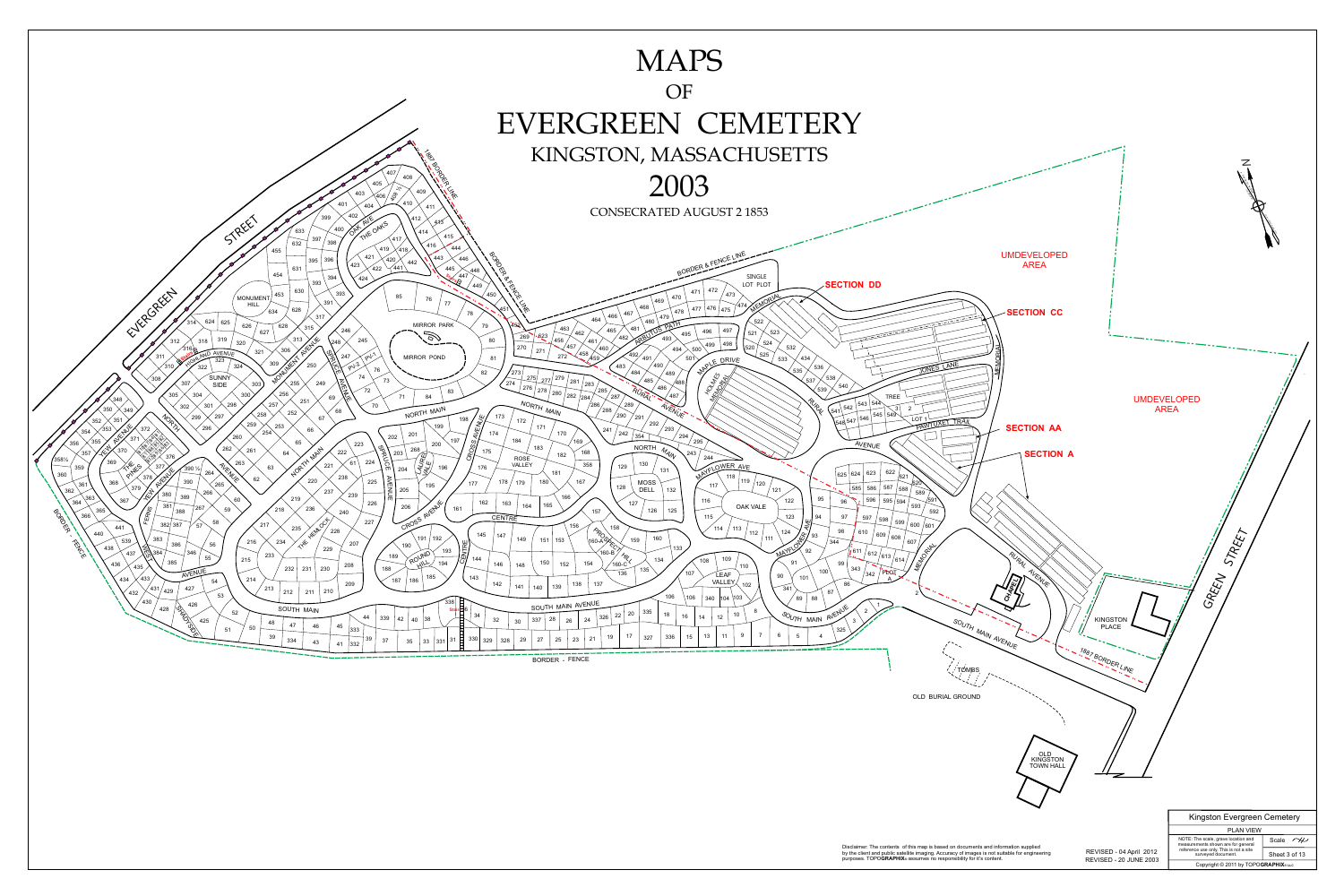

| 5 <sup>5</sup>                                                                                         |                                                                                                                                  |
|--------------------------------------------------------------------------------------------------------|----------------------------------------------------------------------------------------------------------------------------------|
| 444                                                                                                    |                                                                                                                                  |
|                                                                                                        | BORDER & FENCE LINE                                                                                                              |
| 446                                                                                                    |                                                                                                                                  |
| 15<br>448                                                                                              |                                                                                                                                  |
| 447<br>$\frac{2\pi}{\sqrt{3}}$                                                                         | BORD BERTY<br>SINGLE                                                                                                             |
| 449                                                                                                    | LOT PLOT<br><b>SECTION DD</b>                                                                                                    |
| $\overline{\phantom{0}}$<br>$\mathcal{F}_{\mathbf{q}}$                                                 | 472<br>471<br>473<br>470                                                                                                         |
|                                                                                                        | MEMORIAL<br>469                                                                                                                  |
| 78                                                                                                     | <b>TAM</b><br>474<br>468<br>451<br>476<br>477<br>475<br>478<br>467                                                               |
|                                                                                                        | 466<br>479<br>464                                                                                                                |
| K.<br>79                                                                                               | 522<br>452<br>463                                                                                                                |
|                                                                                                        | 465<br>497<br>496<br>523<br>462<br>521<br>495<br>$-623$<br>269                                                                   |
| 80                                                                                                     | ARBUTUS PATH<br>482<br>456<br>461<br>498<br>524<br>499                                                                           |
|                                                                                                        | 457<br>532<br>520<br>270<br>460<br>500<br>494<br>271                                                                             |
| 81                                                                                                     | 458<br>492,<br>525<br>272<br>/459<br>491<br>501<br>434<br>WALE DRIVE<br>533                                                      |
|                                                                                                        | 490<br>JONES<br>483<br>536                                                                                                       |
| 82                                                                                                     | 535<br>273<br>484<br>489                                                                                                         |
|                                                                                                        | 538<br>279<br>275<br>485<br>277<br>537<br>281<br>∕488<br>274<br>283                                                              |
| $3^{\circ}$                                                                                            | HOUNES<br><b>MENTONIAL</b><br>540<br>486<br>276<br>285<br>539<br>278<br>RURAL                                                    |
|                                                                                                        | 280<br>487<br>282<br><b>TREE</b><br>287<br>/284/                                                                                 |
|                                                                                                        | RUPLE<br>NORTH MAIN<br>543 544<br>$^\prime$ 286 $_\prime$<br>289<br>AVENUE .<br>542<br>$\mathcal{S}^{\prime}$<br>$\overline{2}$  |
|                                                                                                        | $^{'}288$<br>541<br>545 549<br>290<br>173                                                                                        |
| AVENUE<br>198                                                                                          | 291<br>$\sqrt{546}$<br>LOT <sub>1</sub><br>172<br>548 547<br>292<br>PANTU                                                        |
| 174                                                                                                    | 171<br>293<br>241<br>170                                                                                                         |
| 197                                                                                                    | 242<br>294<br>354<br>169<br>184                                                                                                  |
| CROSS,                                                                                                 | 295<br>AVENUE<br><b>NORTH</b><br>183                                                                                             |
| 175                                                                                                    | MAIN<br>168<br>243<br>182                                                                                                        |
|                                                                                                        | 244<br><b>ROSE</b><br>130<br>VALLEY<br>358                                                                                       |
| 176                                                                                                    | WAYFLOWER AVE<br>129<br>131<br>622<br>623<br>181<br>624                                                                          |
|                                                                                                        | 625<br>621<br>119<br>167                                                                                                         |
| 177                                                                                                    | 180<br><b>MOSS</b><br>620<br>178<br>179<br>120<br>117<br>587<br>585<br>128<br>586<br>588<br><b>DELL</b>                          |
|                                                                                                        | 121<br>132<br>589<br>166                                                                                                         |
| 162                                                                                                    | 95<br>596<br><u>⁄</u> 591<br>595 $/$ 594<br>116<br>122<br>96<br>163<br>127<br>165<br>164                                         |
| 161                                                                                                    | OAK VALE<br>593<br>126<br>125<br>157<br>592                                                                                      |
|                                                                                                        | 115<br>123<br>94<br>97<br>CENTRE<br>597<br>598                                                                                   |
|                                                                                                        | ৠ<br>599<br>600 / 601<br>156<br>114<br>113                                                                                       |
| 145                                                                                                    | 98<br>124<br>610<br>112<br>609<br>93<br>147<br>608                                                                               |
|                                                                                                        | $\frac{P_{PQQ}}{160-AQQ}$<br>MAYFLOW O<br>160<br>111<br>149<br>159<br>151<br>153<br>607<br>344                                   |
| CENTRE                                                                                                 | I KENDOXAN<br>133<br>611                                                                                                         |
| 144                                                                                                    | / 612 / 613 /<br>$\frac{4}{160}$ $\frac{4}{160}$<br>109<br>134<br>$/$ 614 $/$<br>108                                             |
| 146                                                                                                    | 91<br>150<br>154<br>99<br>152<br>148<br>110<br>343<br>135                                                                        |
| 143                                                                                                    | 100<br>FLOT<br>107<br>136<br>342<br>LEAF<br>90<br>101                                                                            |
| 142                                                                                                    | VALLEY<br>137<br>86<br>138<br>102                                                                                                |
|                                                                                                        | 139<br>141<br>140<br>341<br>$\sum_{\alpha}$<br>87<br>2                                                                           |
|                                                                                                        | 106<br>106<br>103<br>340<br>104<br>89<br>88                                                                                      |
| $\begin{array}{c}\n\begin{array}{c}\n\downarrow \\ \downarrow \\ \downarrow\n\end{array}\n\end{array}$ | SOUTH MAIN AVENUE                                                                                                                |
| 34                                                                                                     | SOUTH MAIN AVENUE<br>8<br>2<br>335<br>20<br>10<br>18<br>22<br>16<br>12<br>14<br>326                                              |
| 32                                                                                                     | 28<br>337<br>24<br>26<br>3<br>30                                                                                                 |
|                                                                                                        | 325                                                                                                                              |
| 330<br>31<br>329                                                                                       | 9<br>6<br>$\overline{7}$<br>11<br>$\overline{4}$<br>17<br>5<br>13<br>336<br>15<br>19<br>327<br>21<br>23<br>25<br>27<br>29<br>328 |
|                                                                                                        | $=$ $ -$                                                                                                                         |
|                                                                                                        | <b>BORDER - FENCE</b>                                                                                                            |
|                                                                                                        |                                                                                                                                  |



## MAPS

### OF

## EVERGREEN CEMETERY KINGSTON, MASSACHUSETTS

CONSECRATED AUGUST 2 1853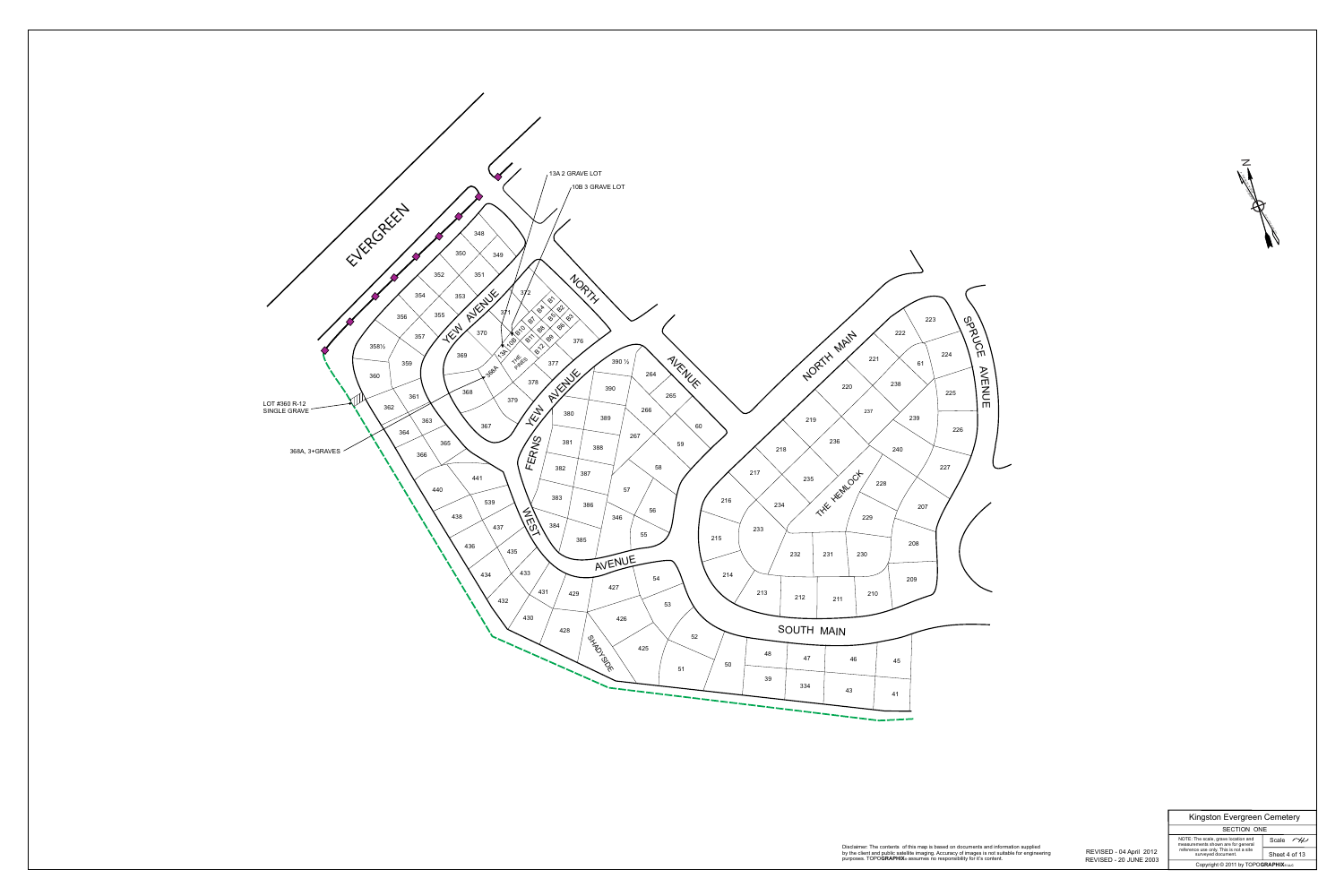*N*



SECTION ONE Kingston Evergreen Cemetery

1922 YAR'N WEST 14° 55'

**MAGNETIC** 

ANNUAL INCREASE 4'

Scale  $\sim$ Sheet 4 of 13

 REVISED - 20 JUNE 2003 REVISED - 04 April 2012

Disclaimer: The contents of this map is based on documents and information supplied by the client and public satellite imaging. Accuracy of images is not suitable for engineering

Copyright © 2011 by TOPO**GRAPHIX**® **LLC**

NOTE: The scale, grave location and measurements shown are for general reference use only. This is not a site surveyed document.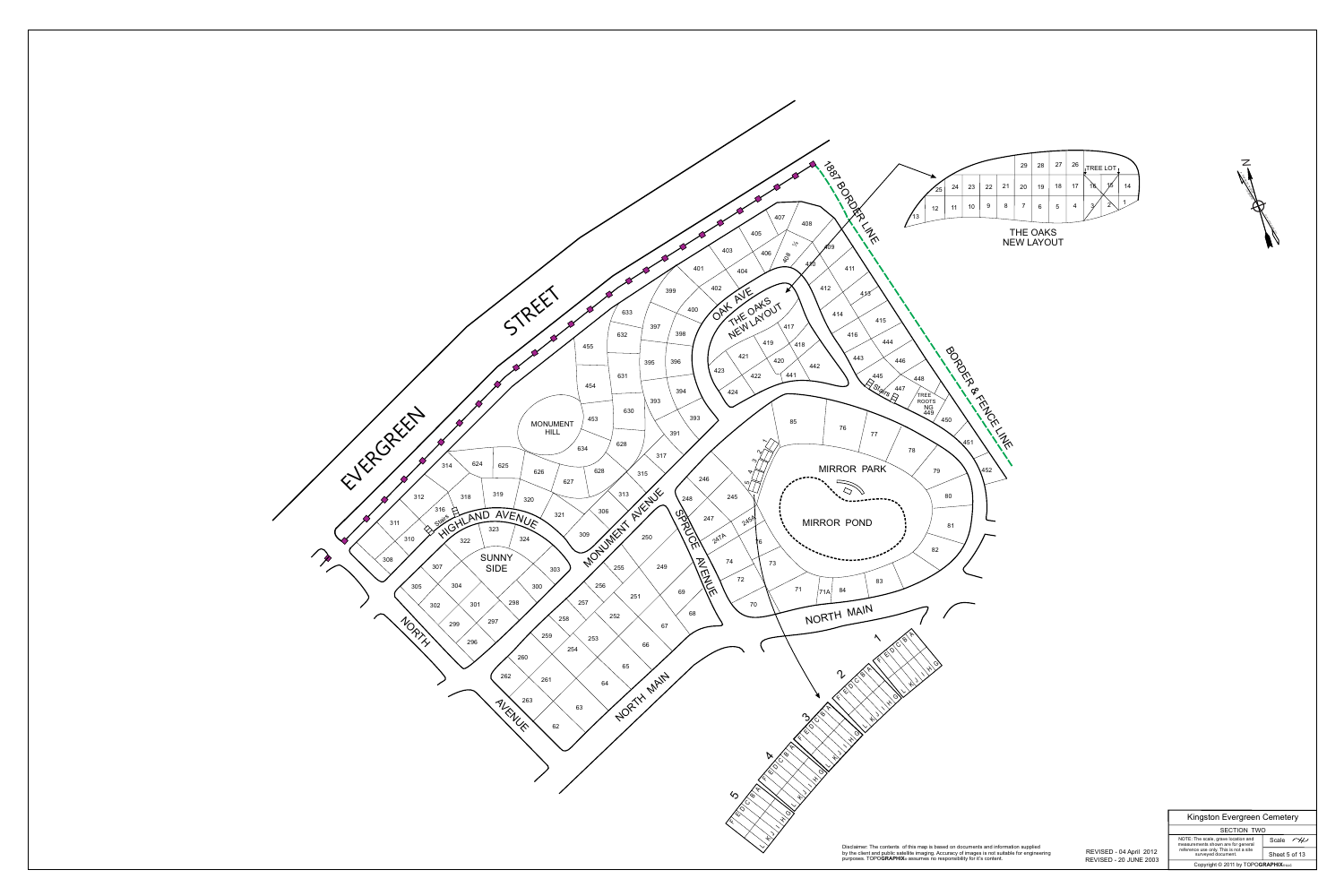

Scale  $\sim$ Sheet 5 of 13

|                                      |    |    |    |    | 29             | 28 | 27 | 26             | <b>TREE LOT</b>     |    |
|--------------------------------------|----|----|----|----|----------------|----|----|----------------|---------------------|----|
| 25                                   | 24 | 23 | 22 | 21 | 20             | 19 | 18 | 17             | 16<br>15            | 14 |
| 12                                   | 11 | 10 | 9  | 8  | $\overline{7}$ | 6  | 5  | $\overline{4}$ | $\overline{2}$<br>3 | 1  |
| <b>THE OAKS</b><br><b>NEW LAYOUT</b> |    |    |    |    |                |    |    |                |                     |    |



 REVISED - 20 JUNE 2003 REVISED - 04 April 2012

SECTION TWO Kingston Evergreen Cemetery

Copyright © 2011 by TOPO**GRAPHIX**® **LLC** NOTE: The scale, grave location and measurements shown are for general reference use only. This is not a site surveyed document.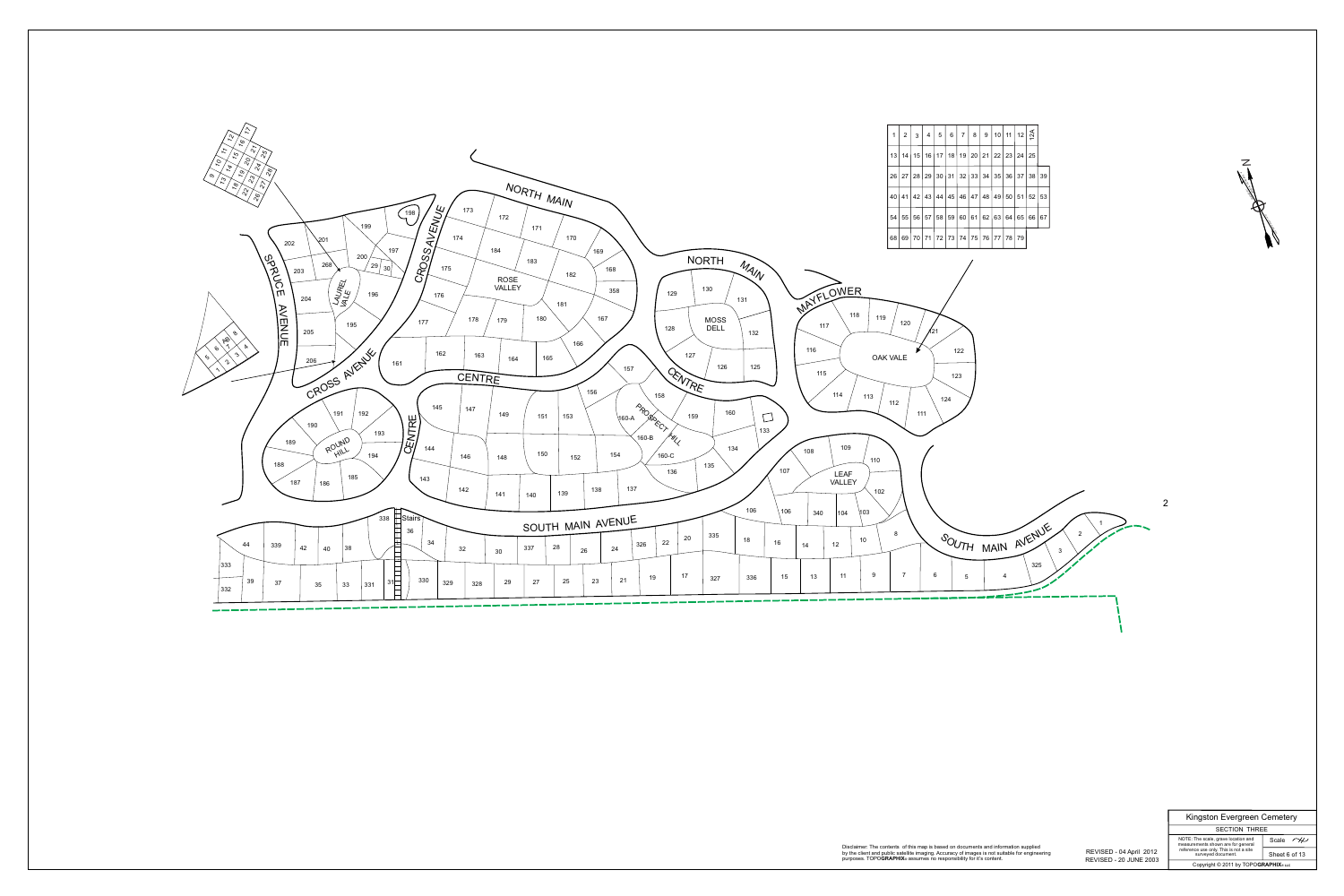*N*



### Scale  $\sim\hspace{-2.1mm}\swarrow$ Sheet 6 of 13

1922 YAR'N WEST 14° 55'

**MAGNETIC** 

ANNUAL INCREASE 4'

 REVISED - 20 JUNE 2003 REVISED - 04 April 2012

SECTION THREE NOTE: The scale, grave location and measurements shown are for general reference use only. This is not a site surveyed document.

#### Disclaimer: The contents of this map is based on documents and information supplied by the client and public satellite imaging. Accuracy of images is not suitable for engineering

|  |  | $5   6   7   8   9   10   11   12   \leq$       |  |  |  |
|--|--|-------------------------------------------------|--|--|--|
|  |  | 17   18   19   20   21   22   23   24   25      |  |  |  |
|  |  | 30   31   32   33   34   35   36   37   38   39 |  |  |  |
|  |  | 44   45   46   47   48   49   50   51   52   53 |  |  |  |
|  |  | 58   59   60   61   62   63   64   65   66   67 |  |  |  |
|  |  | 72   73   74   75   76   77   78   79           |  |  |  |

Kingston Evergreen Cemetery

Copyright © 2011 by TOPO**GRAPHIX**® **LLC**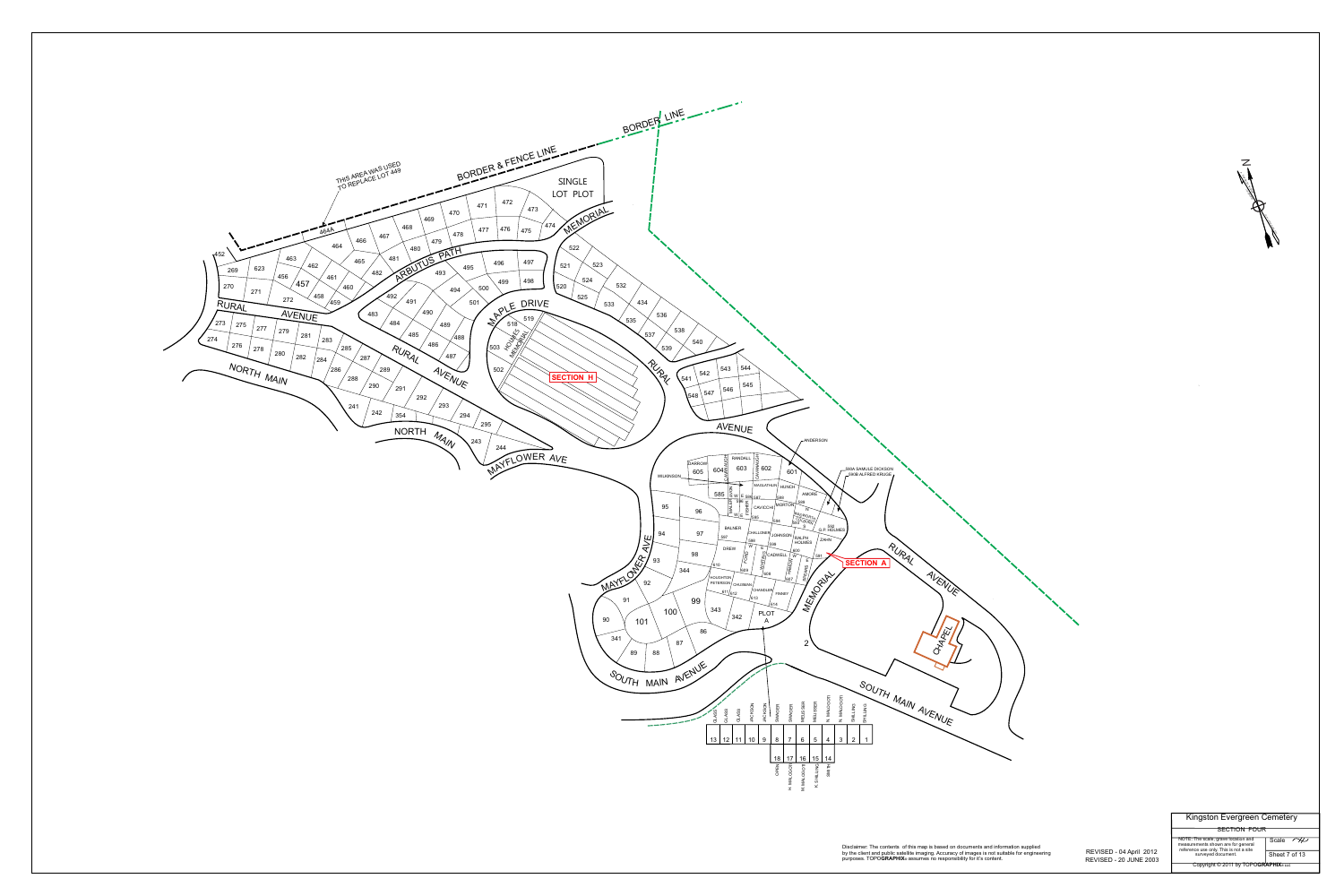*N*



 REVISED - 20 JUNE 2003 REVISED - 04 April 2012

Disclaimer: The contents of this map is based on documents and information supplied by the client and public satellite imaging. Accuracy of images is not suitable for engineering purposes. TOPO**GRAPHIX®** assumes no responsibility for it's content.

Kingston Evergreen Cemetery

Copyright © 2011 by TOPO**GRAPHIX**® **LLC**

NOTE: The scale, grave location and measurements shown are for general reference use only. This is not a site surveyed document.

SECTION FOUR

Scale  $\sim$ 

Sheet 7 of 13

1922 YAR'N WEST 14° 55'

**MAGNETIC** 

ANNUAL INCREASE 4'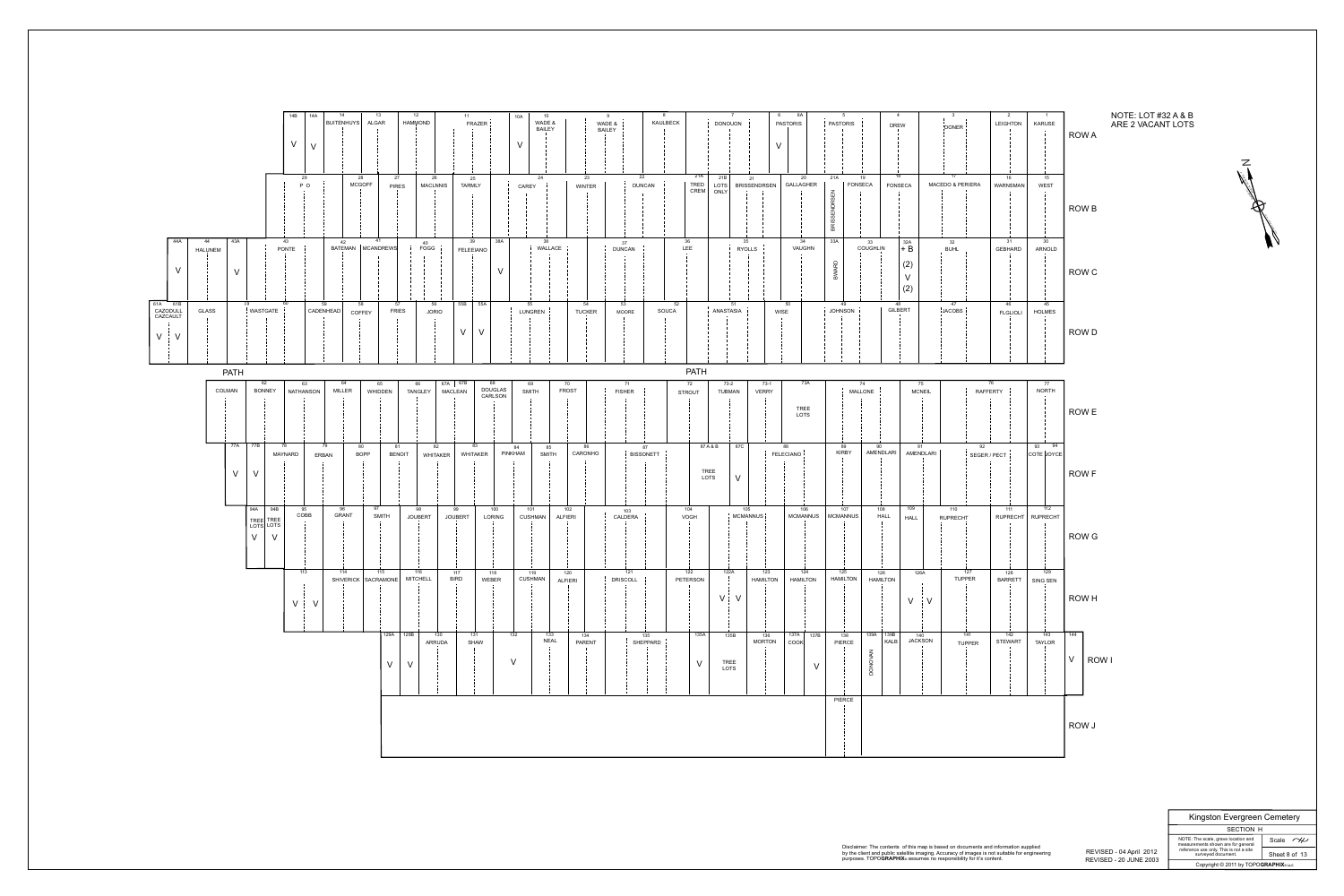| 14A<br>14<br>14B<br>BUITENHUYS<br>$\vee$<br>$\mathsf{V}$                                                                               | 13<br>12<br>11<br>10A<br>10<br>ALGAR<br>WADE &<br><b>HAMMOND</b><br>FRAZER  <br>WADE &<br><b>BAILEY</b><br><b>BAILEY</b><br>$\vee$ | 6A<br>KAULBECK<br><b>PASTORIS</b><br>DONOUON<br>V                                                                         | -4<br>. 5<br><b>PASTORIS</b><br>LEIGHTON<br><b>KARUSE</b><br><b>DREW</b><br>DONER !                                                                                           | R                         |
|----------------------------------------------------------------------------------------------------------------------------------------|------------------------------------------------------------------------------------------------------------------------------------|---------------------------------------------------------------------------------------------------------------------------|-------------------------------------------------------------------------------------------------------------------------------------------------------------------------------|---------------------------|
| 28<br>29<br><b>MCGOFF</b><br>P O                                                                                                       | 27<br>23<br>26<br>24<br>25<br><b>TARMLY</b><br><b>MACLNNIS</b><br><b>WINTER</b><br><b>PIRES</b><br>CAREY                           | 21A<br>22<br>21B<br>20<br>21<br>GALLAGHER<br>TRED<br>CREM<br><b>DUNCAN</b><br><b>BRISSENDRSEN</b><br>LOTS<br>ONLY         | 17<br>18<br>21A<br>19<br>16<br>15<br><b>FONSECA</b><br><b>MACEDO &amp; PERIERA</b><br><b>WEST</b><br><b>FONSECA</b><br><b>WARNSMAN</b><br>$\Xi$<br>ഗ<br>靣                     | R                         |
| 43A<br>44A<br>44<br>43<br>42<br>BATEMAN   MCANDREWS<br><b>PONTE</b><br><b>HALUNEM</b><br>$\vee$<br>$\mathbf{V}$<br>61A 61B<br>L9<br>59 | 38A<br>41<br>39<br>38<br>40<br>FOGG<br>WALLACE<br><b>FELEEIANO</b><br>V<br>55<br>56<br>55B 35A<br>54                               | 36<br>34<br>35<br>37<br>LEE<br>VAUGHN<br><b>DUNCAN</b><br><b>RYOLLS</b><br>53                                             | 30 <sup>°</sup><br>33A<br>31<br>32A<br>32<br>33<br>COUGHLIN<br>$+ B$<br>GEBHARD<br>ARNOLD<br><b>BUHL</b><br>(2)<br>$\Box$<br>$\vee$<br>മ<br>(2)<br>49<br>45<br>48<br>47<br>46 | R                         |
| 58<br>  WASTGATE<br>CAZODULL<br><b>GLASS</b><br>CADENHEAD<br>COFFEY<br>CAZCAULT<br>$V$ $\vdots$ $V$                                    | 57<br><b>FRIES</b><br>LUNGREN  <br><b>JORIO</b><br><b>TUCKER</b><br>$\vee$<br>$\mathsf{V}$                                         | 52<br>51<br>50<br><b>ANASTASIA</b><br>SOUCA<br><b>WISE</b><br><b>MOORE</b>                                                | JOHNSON i<br><b>GILBERT</b><br>$\frac{1}{2}$ JACOBS $\frac{1}{2}$<br><b>HOLMES</b><br><b>FLGLIOLI</b>                                                                         | $\mathsf{R}^{\prime}$     |
| <b>PATH</b><br>62<br>63<br>64                                                                                                          | 67A   67B<br>70<br>65<br>68<br>69<br>66                                                                                            | <b>PATH</b><br>73A<br>$73-1$<br>71<br>72<br>$73-2$                                                                        | 74<br>75<br>76<br>77                                                                                                                                                          |                           |
| COLMAN<br><b>BONNEY</b><br>NATHANSON<br><b>MILLER</b>                                                                                  | DOUGLAS<br>CARLSON<br><b>FROST</b><br><b>MACLEAN</b><br><b>SMITH</b><br>WHIDDEN<br><b>TANGLEY</b>                                  | <b>FISHER</b><br><b>TUBMAN</b><br><b>VERRY</b><br><b>STROUT</b><br><b>TREE</b><br>LOTS                                    | <b>NORTH</b><br>RAFFERTY<br><b>MCNEIL</b><br>MALLONE                                                                                                                          | $\mid R$                  |
| 77B<br>77A<br>78<br>79<br>80<br><b>BOPP</b><br>MAYNARD<br><b>ERBAN</b><br>$\vee$                                                       | 82<br>83<br>86<br>81<br>85<br>84<br>CARONHO<br>PINKHAM<br><b>BENOIT</b><br>WHITAKER<br><b>SMITH</b><br>WHITAKER                    | 87C<br>87 A & B<br>88<br>87<br>FELECIANO !<br>BISSONETT<br>TREE<br>LOTS<br>$\vee$                                         | 94<br>93<br>92<br>89<br>90<br>91<br><b>KIRBY</b><br>AMENDLARI<br>AMENDLARI<br>COTE JOYCE<br>SEGER / PECT                                                                      | $\overline{\mathsf{R}}$   |
| 94B<br>94A<br>95<br>96<br><b>GRANT</b><br>COBB<br>TREE TREE<br>LOTS LOTS<br>$\vee$<br>$\vee$                                           | 97<br>99<br>100<br>101<br>102<br>98<br><b>SMITH</b><br><b>JOUBERT</b><br><b>JOUBERT</b><br><b>ALFIERI</b><br>LORING<br>CUSHMAN     | 106<br>104<br>105<br>103<br>MCMANNUS <sup>¦</sup><br><b>MCMANNUS</b><br>CALDERA<br>VOGH                                   | 112<br>108<br>109<br>107<br>110<br>111<br>  MCMANNUS  <br><b>HALL</b><br>RUPRECHT   RUPRECHT<br><b>RUPRECHT</b><br><b>HALL</b>                                                | $\mathsf{R}$              |
| 113<br>114<br>SHIVERICK   SACRAMONE  <br>$\vee$<br>$\vee$                                                                              | 116<br>115<br>117<br>119<br>118<br>120<br><b>MITCHELL</b><br><b>BIRD</b><br>CUSHMAN<br>WEBER<br><b>ALFIERI</b>                     | 121<br>122<br>122A<br>123<br>124<br><b>DRISCOLL</b><br><b>HAMILTON</b><br><b>HAMILTON</b><br>PETERSON<br>V V              | 129<br>125<br>127<br>126A<br>128<br>126<br><b>TUPPER</b><br><b>HAMILTON</b><br><b>HAMILTON</b><br><b>BARRETT</b><br>SING SEN<br>$\vee$<br>$\mathbf{V}$                        | $\mathsf{R}^{\mathsf{I}}$ |
|                                                                                                                                        | 129A 129B<br>132<br>133<br>130<br>131<br>134<br><b>NEAL</b><br>PARENT<br><b>SHAW</b><br>ARRUDA<br>$\mathsf{V}$<br>$\vee$<br>$\vee$ | 135A<br>135<br>135B<br>137A   137B<br>136<br><b>MORTON</b><br>SHEPPARD<br>COOK<br>$\vee$<br>TREE<br>$\vee$<br><b>LOTS</b> | 143<br>139A 139B<br>142<br>141<br>140<br>138<br><b>JACKSON</b><br>STEWART<br><b>KALB</b><br>PIERCE<br><b>TAYLOR</b><br><b>TUPPER</b><br>$\leq$<br>DONO                        | $\overline{144}$          |
|                                                                                                                                        |                                                                                                                                    |                                                                                                                           | <b>PIERCE</b>                                                                                                                                                                 | R                         |



 REVISED - 20 JUNE 2003 REVISED - 04 April 2012

by the client and public satellite imaging. Accuracy of images is not suitable for engineering

Copyright © 2011 by TOPO**GRAPHIX**® **LLC** Sheet 8 of 13 surveyed document.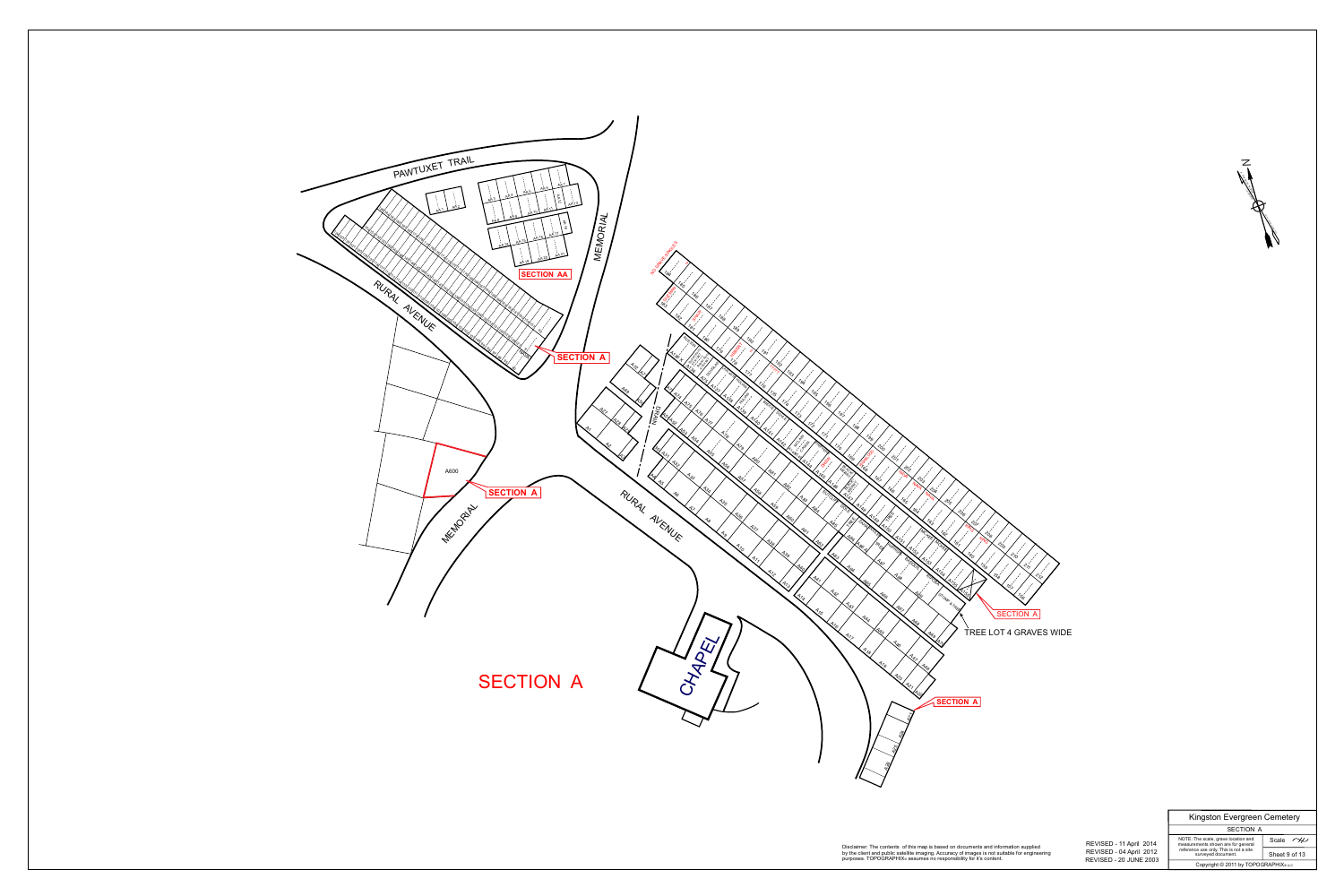

SECTION A Kingston Evergreen Cemetery

Scale  $\sim$ Sheet 9 of 13

Copyright © 2011 by TOPOGRAPHIX®LLC NOTE: The scale, grave location and measurements shown are for general reference use only. This is not a site surveyed document.



 REVISED - 20 JUNE 2003 REVISED - 04 April 2012 REVISED - 11 April 2014

Disclaimer: The contents of this map is based on documents and information supplied by the client and public satellite imaging. Accuracy of images is not suitable for engineering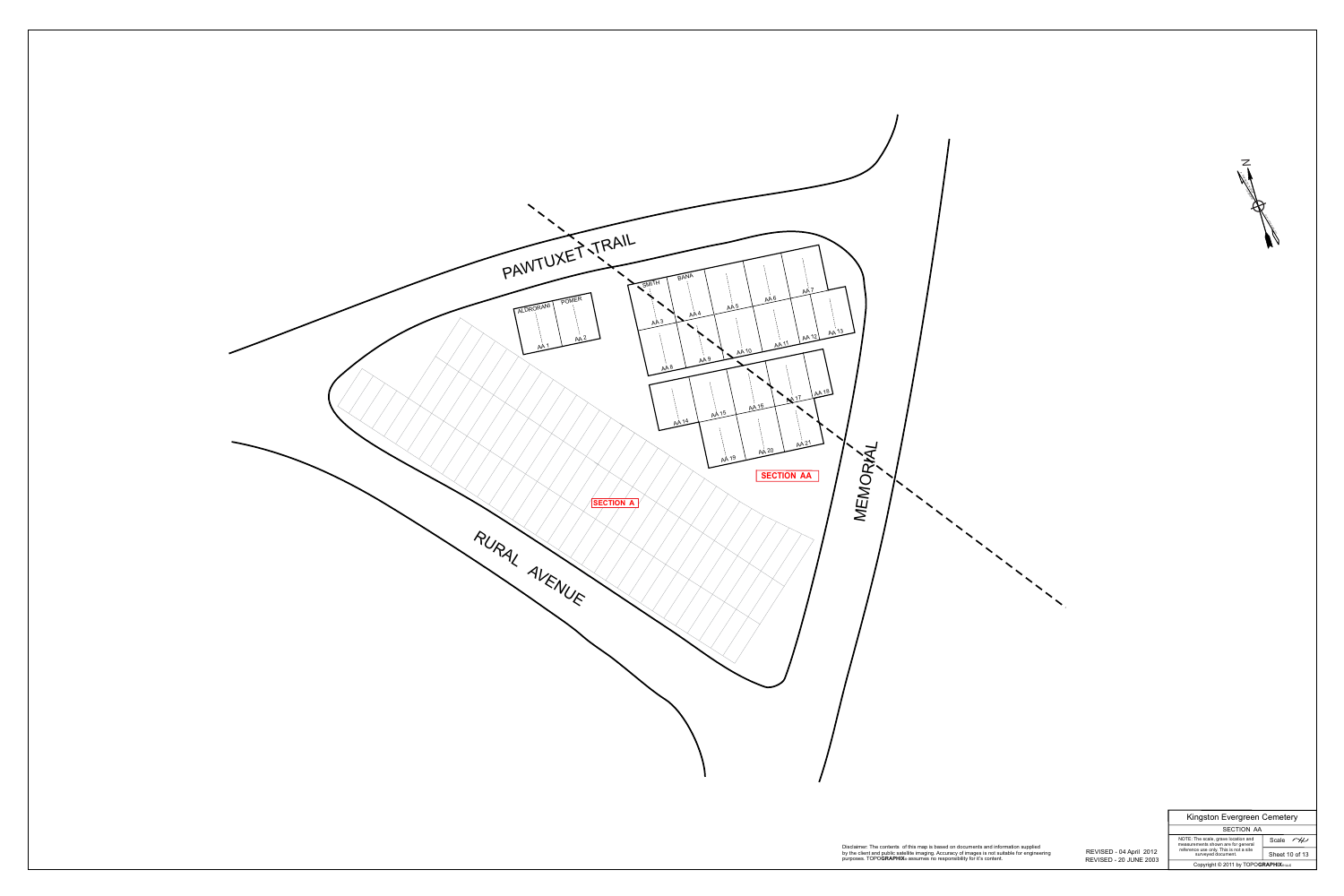

 REVISED - 20 JUNE 2003 REVISED - 04 April 2012

| $\angle$                                  |
|-------------------------------------------|
|                                           |
| Kingston Evergreen Cemetery<br>SECTION AA |

Disclaimer: The contents of this map is based on documents and information supplied by the client and public satellite imaging. Accuracy of images is not suitable for engineering purposes. TOPO**GRAPHIX®** assumes no responsibility for it's content.

Copyright © 2011 by TOPO**GRAPHIX**® **LLC**

NOTE: The scale, grave location and measurements shown are for general Scale  $\overline{\sim}$ 

Sheet 10 of 13 reference use only. This is not a site surveyed document.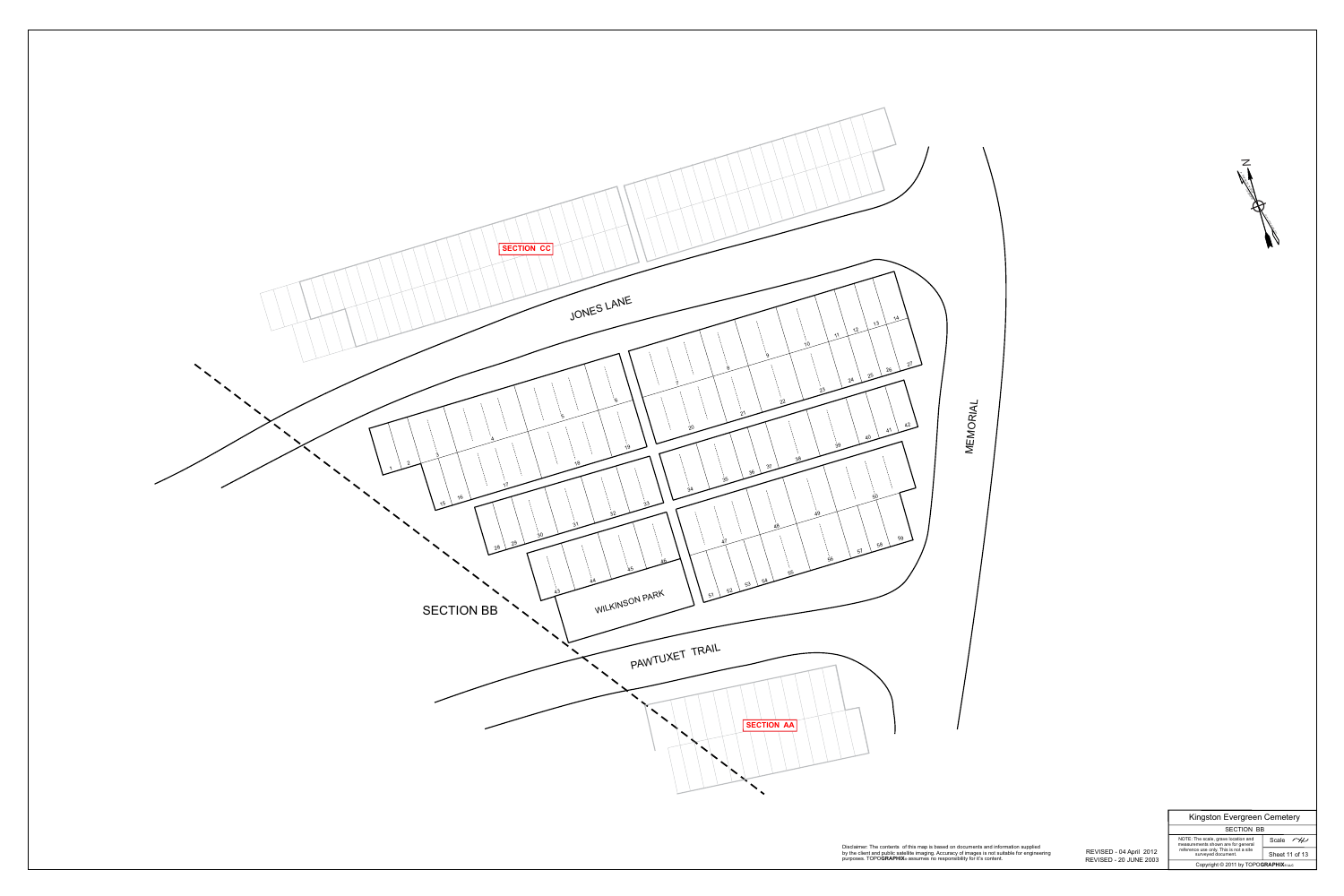

Copyright © 2011 by TOPO**GRAPHIX**® **LLC**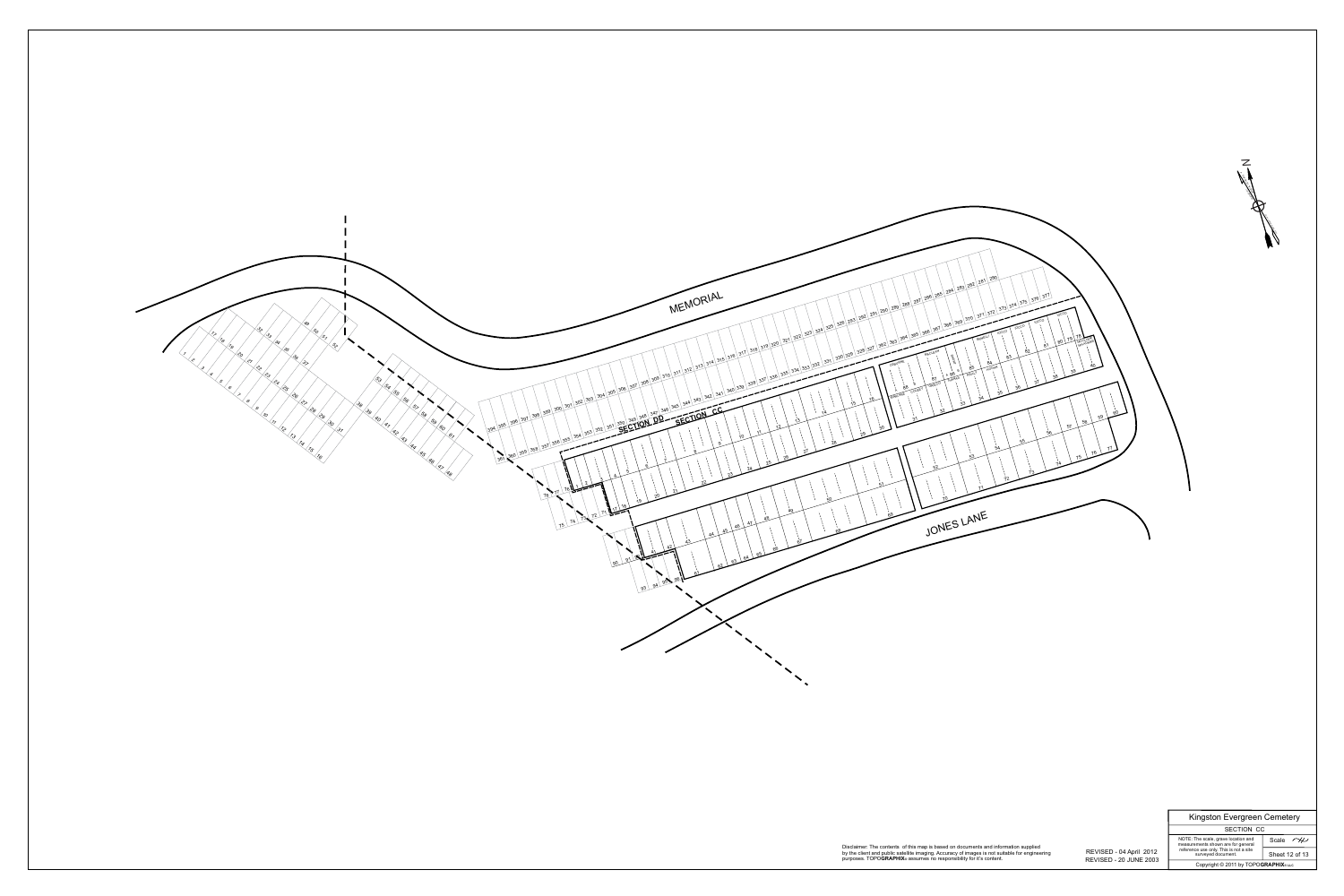

SECTION CC Kingston Evergreen Cemetery

Scale  $\overline{\sim}$ Sheet 12 of 13

 REVISED - 20 JUNE 2003 REVISED - 04 April 2012

Disclaimer: The contents of this map is based on documents and information supplied by the client and public satellite imaging. Accuracy of images is not suitable for engineering

Copyright © 2011 by TOPO**GRAPHIX**® **LLC** NOTE: The scale, grave location and measurements shown are for general reference use only. This is not a site surveyed document.